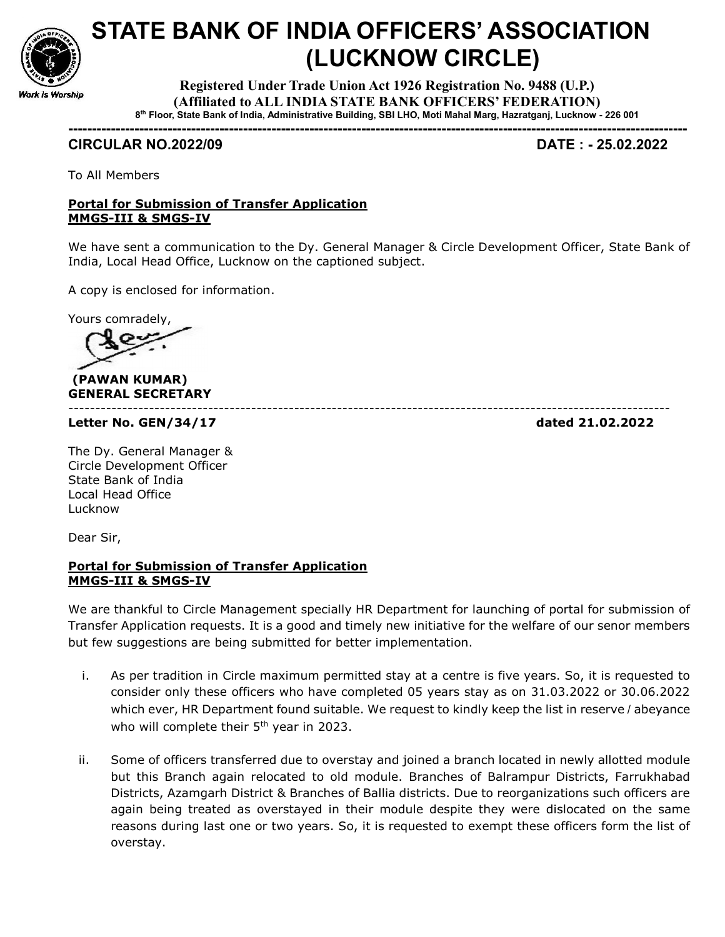

## STATE BANK OF INDIA OFFICERS' ASSOCIATION (LUCKNOW CIRCLE)

Registered Under Trade Union Act 1926 Registration No. 9488 (U.P.) (Affiliated to ALL INDIA STATE BANK OFFICERS' FEDERATION) 8 th Floor, State Bank of India, Administrative Building, SBI LHO, Moti Mahal Marg, Hazratganj, Lucknow - 226 001

-----------------------------------------------------------------------------------------------------------------------------------

## CIRCULAR NO.2022/09 DATE : - 25.02.2022

To All Members

## Portal for Submission of Transfer Application MMGS-III & SMGS-IV

We have sent a communication to the Dy. General Manager & Circle Development Officer, State Bank of India, Local Head Office, Lucknow on the captioned subject.

----------------------------------------------------------------------------------------------------------------

A copy is enclosed for information.

Yours comradely,

 (PAWAN KUMAR) GENERAL SECRETARY

Letter No. GEN/34/17 dated 21.02.2022

The Dy. General Manager & Circle Development Officer State Bank of India Local Head Office Lucknow

Dear Sir,

## Portal for Submission of Transfer Application MMGS-III & SMGS-IV

We are thankful to Circle Management specially HR Department for launching of portal for submission of Transfer Application requests. It is a good and timely new initiative for the welfare of our senor members but few suggestions are being submitted for better implementation.

- i. As per tradition in Circle maximum permitted stay at a centre is five years. So, it is requested to consider only these officers who have completed 05 years stay as on 31.03.2022 or 30.06.2022 which ever, HR Department found suitable. We request to kindly keep the list in reserve / abeyance who will complete their 5<sup>th</sup> year in 2023.
- ii. Some of officers transferred due to overstay and joined a branch located in newly allotted module but this Branch again relocated to old module. Branches of Balrampur Districts, Farrukhabad Districts, Azamgarh District & Branches of Ballia districts. Due to reorganizations such officers are again being treated as overstayed in their module despite they were dislocated on the same reasons during last one or two years. So, it is requested to exempt these officers form the list of overstay.